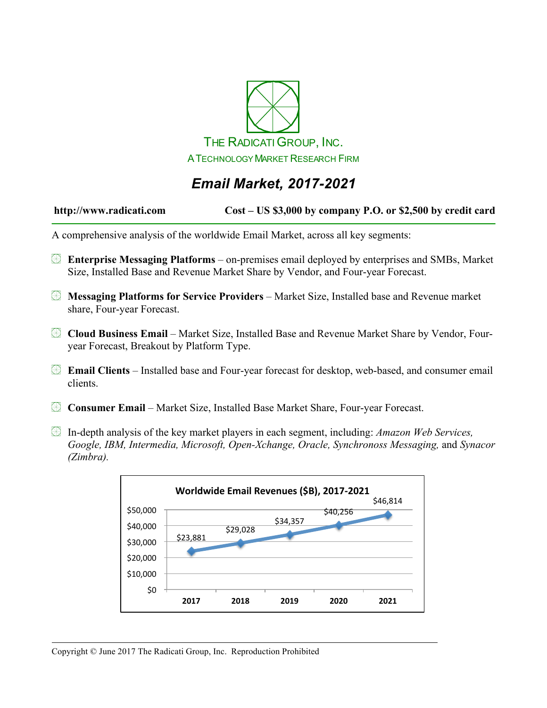

# *Email Market, 2017-2021*

#### **http://www.radicati.com Cost – US \$3,000 by company P.O. or \$2,500 by credit card**

A comprehensive analysis of the worldwide Email Market, across all key segments:

- **Enterprise Messaging Platforms** on-premises email deployed by enterprises and SMBs, Market Size, Installed Base and Revenue Market Share by Vendor, and Four-year Forecast.
- **Messaging Platforms for Service Providers** Market Size, Installed base and Revenue market share, Four-year Forecast.
- **Cloud Business Email** Market Size, Installed Base and Revenue Market Share by Vendor, Fouryear Forecast, Breakout by Platform Type.
- **Email Clients** Installed base and Four-year forecast for desktop, web-based, and consumer email clients.
- **Consumer Email** Market Size, Installed Base Market Share, Four-year Forecast.
- In-depth analysis of the key market players in each segment, including: *Amazon Web Services, Google, IBM, Intermedia, Microsoft, Open-Xchange, Oracle, Synchronoss Messaging,* and *Synacor (Zimbra).*

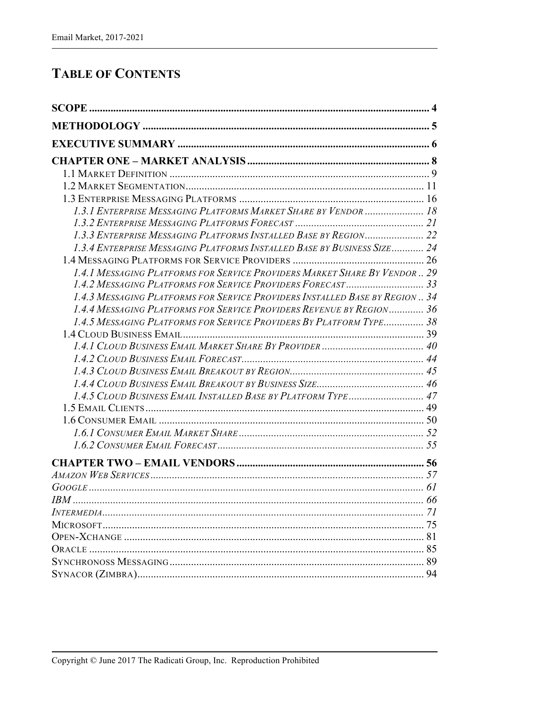### **TABLE OF CONTENTS**

| 1.3.1 ENTERPRISE MESSAGING PLATFORMS MARKET SHARE BY VENDOR  18              |    |
|------------------------------------------------------------------------------|----|
|                                                                              |    |
| 1.3.3 ENTERPRISE MESSAGING PLATFORMS INSTALLED BASE BY REGION 22             |    |
| 1.3.4 ENTERPRISE MESSAGING PLATFORMS INSTALLED BASE BY BUSINESS SIZE 24      |    |
|                                                                              |    |
| 1.4.1 MESSAGING PLATFORMS FOR SERVICE PROVIDERS MARKET SHARE BY VENDOR  29   |    |
| 1.4.3 MESSAGING PLATFORMS FOR SERVICE PROVIDERS INSTALLED BASE BY REGION  34 |    |
| 1.4.4 MESSAGING PLATFORMS FOR SERVICE PROVIDERS REVENUE BY REGION 36         |    |
| 1.4.5 MESSAGING PLATFORMS FOR SERVICE PROVIDERS BY PLATFORM TYPE 38          |    |
|                                                                              |    |
|                                                                              |    |
|                                                                              |    |
|                                                                              |    |
|                                                                              |    |
|                                                                              |    |
|                                                                              |    |
|                                                                              |    |
|                                                                              |    |
|                                                                              |    |
|                                                                              |    |
|                                                                              |    |
|                                                                              |    |
|                                                                              |    |
|                                                                              |    |
|                                                                              |    |
|                                                                              |    |
|                                                                              |    |
|                                                                              |    |
|                                                                              | 94 |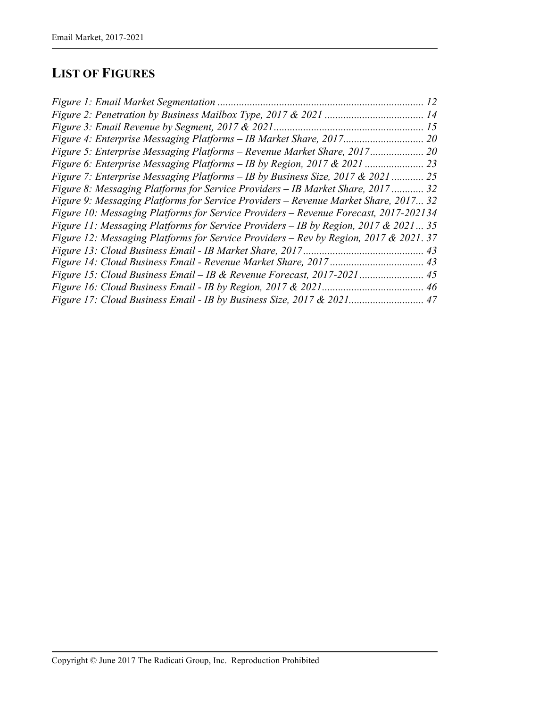## **LIST OF FIGURES**

|                                                                                       | 12 |
|---------------------------------------------------------------------------------------|----|
|                                                                                       |    |
|                                                                                       | 15 |
|                                                                                       |    |
| Figure 5: Enterprise Messaging Platforms - Revenue Market Share, 2017 20              |    |
|                                                                                       |    |
| Figure 7: Enterprise Messaging Platforms – IB by Business Size, 2017 & 2021  25       |    |
| Figure 8: Messaging Platforms for Service Providers – IB Market Share, 2017  32       |    |
| Figure 9: Messaging Platforms for Service Providers – Revenue Market Share, 2017 32   |    |
| Figure 10: Messaging Platforms for Service Providers - Revenue Forecast, 2017-202134  |    |
| Figure 11: Messaging Platforms for Service Providers - IB by Region, 2017 & 2021 35   |    |
| Figure 12: Messaging Platforms for Service Providers – Rev by Region, 2017 & 2021. 37 |    |
|                                                                                       |    |
|                                                                                       |    |
|                                                                                       |    |
|                                                                                       |    |
|                                                                                       |    |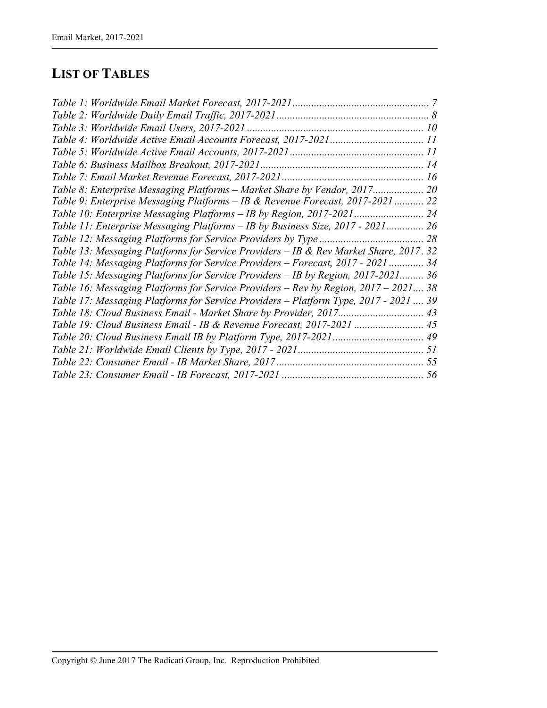### **LIST OF TABLES**

| Table 8: Enterprise Messaging Platforms - Market Share by Vendor, 2017 20             |  |
|---------------------------------------------------------------------------------------|--|
| Table 9: Enterprise Messaging Platforms - IB & Revenue Forecast, 2017-2021 22         |  |
|                                                                                       |  |
| Table 11: Enterprise Messaging Platforms - IB by Business Size, 2017 - 2021 26        |  |
|                                                                                       |  |
| Table 13: Messaging Platforms for Service Providers - IB & Rev Market Share, 2017. 32 |  |
| Table 14: Messaging Platforms for Service Providers - Forecast, 2017 - 2021  34       |  |
| Table 15: Messaging Platforms for Service Providers - IB by Region, 2017-2021 36      |  |
| Table 16: Messaging Platforms for Service Providers – Rev by Region, 2017 – 2021 38   |  |
| Table 17: Messaging Platforms for Service Providers - Platform Type, 2017 - 2021  39  |  |
|                                                                                       |  |
| Table 19: Cloud Business Email - IB & Revenue Forecast, 2017-2021  45                 |  |
|                                                                                       |  |
|                                                                                       |  |
|                                                                                       |  |
|                                                                                       |  |